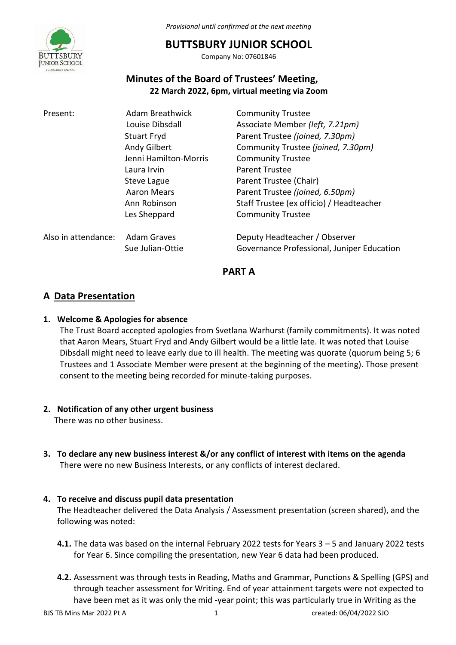

*Provisional until confirmed at the next meeting*

# **BUTTSBURY JUNIOR SCHOOL**

Company No: 07601846

# **Minutes of the Board of Trustees' Meeting, 22 March 2022, 6pm, virtual meeting via Zoom**

| Present:            | <b>Adam Breathwick</b>                 | <b>Community Trustee</b>                                                    |
|---------------------|----------------------------------------|-----------------------------------------------------------------------------|
|                     | Louise Dibsdall                        | Associate Member (left, 7.21pm)                                             |
|                     | <b>Stuart Fryd</b>                     | Parent Trustee (joined, 7.30pm)                                             |
|                     | Andy Gilbert                           | Community Trustee (joined, 7.30pm)                                          |
|                     | Jenni Hamilton-Morris                  | <b>Community Trustee</b>                                                    |
|                     | Laura Irvin                            | <b>Parent Trustee</b>                                                       |
|                     | Steve Lague                            | Parent Trustee (Chair)                                                      |
|                     | Aaron Mears                            | Parent Trustee (joined, 6.50pm)                                             |
|                     | Ann Robinson                           | Staff Trustee (ex officio) / Headteacher                                    |
|                     | Les Sheppard                           | <b>Community Trustee</b>                                                    |
| Also in attendance: | <b>Adam Graves</b><br>Sue Julian-Ottie | Deputy Headteacher / Observer<br>Governance Professional, Juniper Education |
|                     |                                        |                                                                             |

**PART A** 

# **A Data Presentation**

## **1. Welcome & Apologies for absence**

The Trust Board accepted apologies from Svetlana Warhurst (family commitments). It was noted that Aaron Mears, Stuart Fryd and Andy Gilbert would be a little late. It was noted that Louise Dibsdall might need to leave early due to ill health. The meeting was quorate (quorum being 5; 6 Trustees and 1 Associate Member were present at the beginning of the meeting). Those present consent to the meeting being recorded for minute-taking purposes.

### **2. Notification of any other urgent business**

There was no other business.

**3. To declare any new business interest &/or any conflict of interest with items on the agenda**  There were no new Business Interests, or any conflicts of interest declared.

### **4. To receive and discuss pupil data presentation**

The Headteacher delivered the Data Analysis / Assessment presentation (screen shared), and the following was noted:

- **4.1.** The data was based on the internal February 2022 tests for Years 3 5 and January 2022 tests for Year 6. Since compiling the presentation, new Year 6 data had been produced.
- **4.2.** Assessment was through tests in Reading, Maths and Grammar, Punctions & Spelling (GPS) and through teacher assessment for Writing. End of year attainment targets were not expected to have been met as it was only the mid -year point; this was particularly true in Writing as the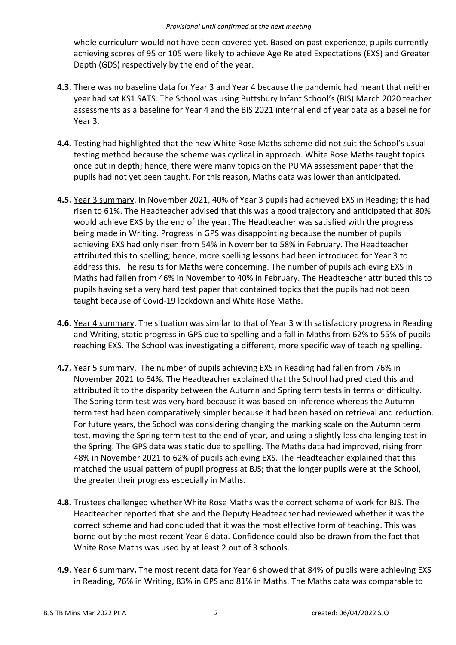whole curriculum would not have been covered yet. Based on past experience, pupils currently achieving scores of 95 or 105 were likely to achieve Age Related Expectations (EXS) and Greater Depth (GDS) respectively by the end of the year.

- **4.3.** There was no baseline data for Year 3 and Year 4 because the pandemic had meant that neither year had sat KS1 SATS. The School was using Buttsbury Infant School's (BIS) March 2020 teacher assessments as a baseline for Year 4 and the BIS 2021 internal end of year data as a baseline for Year 3.
- **4.4.** Testing had highlighted that the new White Rose Maths scheme did not suit the School's usual testing method because the scheme was cyclical in approach. White Rose Maths taught topics once but in depth; hence, there were many topics on the PUMA assessment paper that the pupils had not yet been taught. For this reason, Maths data was lower than anticipated.
- **4.5.** Year 3 summary. In November 2021, 40% of Year 3 pupils had achieved EXS in Reading; this had risen to 61%. The Headteacher advised that this was a good trajectory and anticipated that 80% would achieve EXS by the end of the year. The Headteacher was satisfied with the progress being made in Writing. Progress in GPS was disappointing because the number of pupils achieving EXS had only risen from 54% in November to 58% in February. The Headteacher attributed this to spelling; hence, more spelling lessons had been introduced for Year 3 to address this. The results for Maths were concerning. The number of pupils achieving EXS in Maths had fallen from 46% in November to 40% in February. The Headteacher attributed this to pupils having set a very hard test paper that contained topics that the pupils had not been taught because of Covid-19 lockdown and White Rose Maths.
- **4.6.** Year 4 summary. The situation was similar to that of Year 3 with satisfactory progress in Reading and Writing, static progress in GPS due to spelling and a fall in Maths from 62% to 55% of pupils reaching EXS. The School was investigating a different, more specific way of teaching spelling.
- **4.7.** Year 5 summary. The number of pupils achieving EXS in Reading had fallen from 76% in November 2021 to 64%. The Headteacher explained that the School had predicted this and attributed it to the disparity between the Autumn and Spring term tests in terms of difficulty. The Spring term test was very hard because it was based on inference whereas the Autumn term test had been comparatively simpler because it had been based on retrieval and reduction. For future years, the School was considering changing the marking scale on the Autumn term test, moving the Spring term test to the end of year, and using a slightly less challenging test in the Spring. The GPS data was static due to spelling. The Maths data had improved, rising from 48% in November 2021 to 62% of pupils achieving EXS. The Headteacher explained that this matched the usual pattern of pupil progress at BJS; that the longer pupils were at the School, the greater their progress especially in Maths.
- **4.8.** Trustees challenged whether White Rose Maths was the correct scheme of work for BJS. The Headteacher reported that she and the Deputy Headteacher had reviewed whether it was the correct scheme and had concluded that it was the most effective form of teaching. This was borne out by the most recent Year 6 data. Confidence could also be drawn from the fact that White Rose Maths was used by at least 2 out of 3 schools.
- **4.9.** Year 6 summary**.** The most recent data for Year 6 showed that 84% of pupils were achieving EXS in Reading, 76% in Writing, 83% in GPS and 81% in Maths. The Maths data was comparable to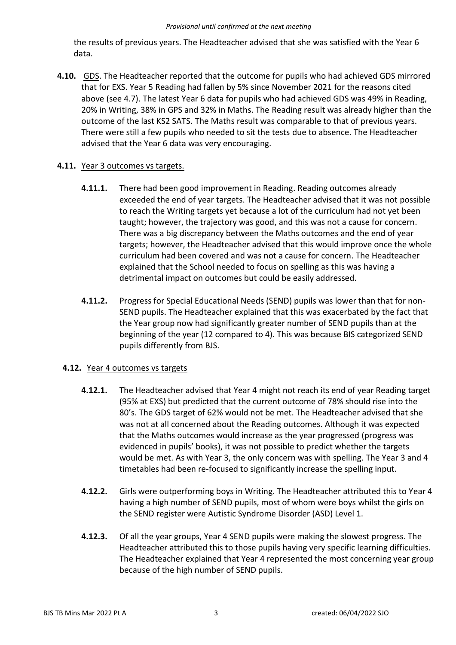the results of previous years. The Headteacher advised that she was satisfied with the Year 6 data.

**4.10.** GDS. The Headteacher reported that the outcome for pupils who had achieved GDS mirrored that for EXS. Year 5 Reading had fallen by 5% since November 2021 for the reasons cited above (see 4.7). The latest Year 6 data for pupils who had achieved GDS was 49% in Reading, 20% in Writing, 38% in GPS and 32% in Maths. The Reading result was already higher than the outcome of the last KS2 SATS. The Maths result was comparable to that of previous years. There were still a few pupils who needed to sit the tests due to absence. The Headteacher advised that the Year 6 data was very encouraging.

### **4.11.** Year 3 outcomes vs targets.

- **4.11.1.** There had been good improvement in Reading. Reading outcomes already exceeded the end of year targets. The Headteacher advised that it was not possible to reach the Writing targets yet because a lot of the curriculum had not yet been taught; however, the trajectory was good, and this was not a cause for concern. There was a big discrepancy between the Maths outcomes and the end of year targets; however, the Headteacher advised that this would improve once the whole curriculum had been covered and was not a cause for concern. The Headteacher explained that the School needed to focus on spelling as this was having a detrimental impact on outcomes but could be easily addressed.
- **4.11.2.** Progress for Special Educational Needs (SEND) pupils was lower than that for non-SEND pupils. The Headteacher explained that this was exacerbated by the fact that the Year group now had significantly greater number of SEND pupils than at the beginning of the year (12 compared to 4). This was because BIS categorized SEND pupils differently from BJS.

# **4.12.** Year 4 outcomes vs targets

- **4.12.1.** The Headteacher advised that Year 4 might not reach its end of year Reading target (95% at EXS) but predicted that the current outcome of 78% should rise into the 80's. The GDS target of 62% would not be met. The Headteacher advised that she was not at all concerned about the Reading outcomes. Although it was expected that the Maths outcomes would increase as the year progressed (progress was evidenced in pupils' books), it was not possible to predict whether the targets would be met. As with Year 3, the only concern was with spelling. The Year 3 and 4 timetables had been re-focused to significantly increase the spelling input.
- **4.12.2.** Girls were outperforming boys in Writing. The Headteacher attributed this to Year 4 having a high number of SEND pupils, most of whom were boys whilst the girls on the SEND register were Autistic Syndrome Disorder (ASD) Level 1.
- **4.12.3.** Of all the year groups, Year 4 SEND pupils were making the slowest progress. The Headteacher attributed this to those pupils having very specific learning difficulties. The Headteacher explained that Year 4 represented the most concerning year group because of the high number of SEND pupils.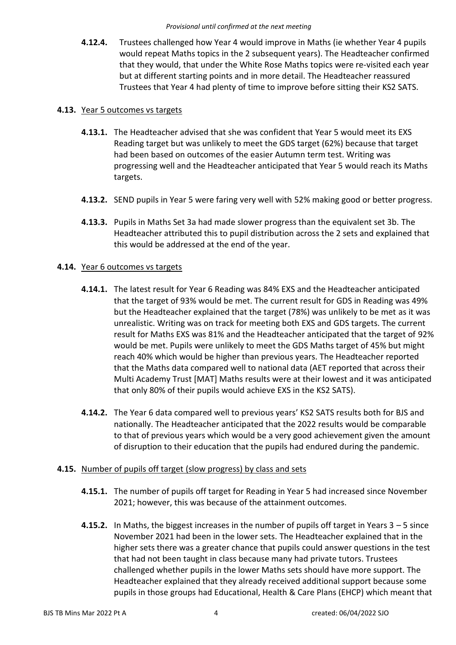**4.12.4.** Trustees challenged how Year 4 would improve in Maths (ie whether Year 4 pupils would repeat Maths topics in the 2 subsequent years). The Headteacher confirmed that they would, that under the White Rose Maths topics were re-visited each year but at different starting points and in more detail. The Headteacher reassured Trustees that Year 4 had plenty of time to improve before sitting their KS2 SATS.

## **4.13.** Year 5 outcomes vs targets

- **4.13.1.** The Headteacher advised that she was confident that Year 5 would meet its EXS Reading target but was unlikely to meet the GDS target (62%) because that target had been based on outcomes of the easier Autumn term test. Writing was progressing well and the Headteacher anticipated that Year 5 would reach its Maths targets.
- **4.13.2.** SEND pupils in Year 5 were faring very well with 52% making good or better progress.
- **4.13.3.** Pupils in Maths Set 3a had made slower progress than the equivalent set 3b. The Headteacher attributed this to pupil distribution across the 2 sets and explained that this would be addressed at the end of the year.

## **4.14.** Year 6 outcomes vs targets

- **4.14.1.** The latest result for Year 6 Reading was 84% EXS and the Headteacher anticipated that the target of 93% would be met. The current result for GDS in Reading was 49% but the Headteacher explained that the target (78%) was unlikely to be met as it was unrealistic. Writing was on track for meeting both EXS and GDS targets. The current result for Maths EXS was 81% and the Headteacher anticipated that the target of 92% would be met. Pupils were unlikely to meet the GDS Maths target of 45% but might reach 40% which would be higher than previous years. The Headteacher reported that the Maths data compared well to national data (AET reported that across their Multi Academy Trust [MAT] Maths results were at their lowest and it was anticipated that only 80% of their pupils would achieve EXS in the KS2 SATS).
- **4.14.2.** The Year 6 data compared well to previous years' KS2 SATS results both for BJS and nationally. The Headteacher anticipated that the 2022 results would be comparable to that of previous years which would be a very good achievement given the amount of disruption to their education that the pupils had endured during the pandemic.

### **4.15.** Number of pupils off target (slow progress) by class and sets

- **4.15.1.** The number of pupils off target for Reading in Year 5 had increased since November 2021; however, this was because of the attainment outcomes.
- **4.15.2.** In Maths, the biggest increases in the number of pupils off target in Years 3 5 since November 2021 had been in the lower sets. The Headteacher explained that in the higher sets there was a greater chance that pupils could answer questions in the test that had not been taught in class because many had private tutors. Trustees challenged whether pupils in the lower Maths sets should have more support. The Headteacher explained that they already received additional support because some pupils in those groups had Educational, Health & Care Plans (EHCP) which meant that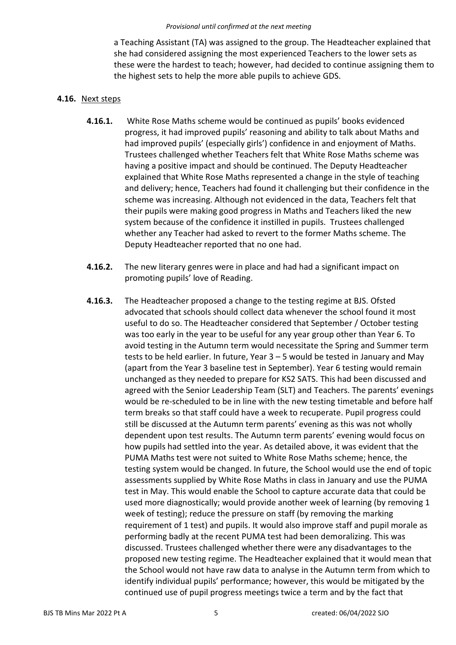a Teaching Assistant (TA) was assigned to the group. The Headteacher explained that she had considered assigning the most experienced Teachers to the lower sets as these were the hardest to teach; however, had decided to continue assigning them to the highest sets to help the more able pupils to achieve GDS.

#### **4.16.** Next steps

- **4.16.1.** White Rose Maths scheme would be continued as pupils' books evidenced progress, it had improved pupils' reasoning and ability to talk about Maths and had improved pupils' (especially girls') confidence in and enjoyment of Maths. Trustees challenged whether Teachers felt that White Rose Maths scheme was having a positive impact and should be continued. The Deputy Headteacher explained that White Rose Maths represented a change in the style of teaching and delivery; hence, Teachers had found it challenging but their confidence in the scheme was increasing. Although not evidenced in the data, Teachers felt that their pupils were making good progress in Maths and Teachers liked the new system because of the confidence it instilled in pupils. Trustees challenged whether any Teacher had asked to revert to the former Maths scheme. The Deputy Headteacher reported that no one had.
- **4.16.2.** The new literary genres were in place and had had a significant impact on promoting pupils' love of Reading.
- **4.16.3.** The Headteacher proposed a change to the testing regime at BJS. Ofsted advocated that schools should collect data whenever the school found it most useful to do so. The Headteacher considered that September / October testing was too early in the year to be useful for any year group other than Year 6. To avoid testing in the Autumn term would necessitate the Spring and Summer term tests to be held earlier. In future, Year 3 – 5 would be tested in January and May (apart from the Year 3 baseline test in September). Year 6 testing would remain unchanged as they needed to prepare for KS2 SATS. This had been discussed and agreed with the Senior Leadership Team (SLT) and Teachers. The parents' evenings would be re-scheduled to be in line with the new testing timetable and before half term breaks so that staff could have a week to recuperate. Pupil progress could still be discussed at the Autumn term parents' evening as this was not wholly dependent upon test results. The Autumn term parents' evening would focus on how pupils had settled into the year. As detailed above, it was evident that the PUMA Maths test were not suited to White Rose Maths scheme; hence, the testing system would be changed. In future, the School would use the end of topic assessments supplied by White Rose Maths in class in January and use the PUMA test in May. This would enable the School to capture accurate data that could be used more diagnostically; would provide another week of learning (by removing 1 week of testing); reduce the pressure on staff (by removing the marking requirement of 1 test) and pupils. It would also improve staff and pupil morale as performing badly at the recent PUMA test had been demoralizing. This was discussed. Trustees challenged whether there were any disadvantages to the proposed new testing regime. The Headteacher explained that it would mean that the School would not have raw data to analyse in the Autumn term from which to identify individual pupils' performance; however, this would be mitigated by the continued use of pupil progress meetings twice a term and by the fact that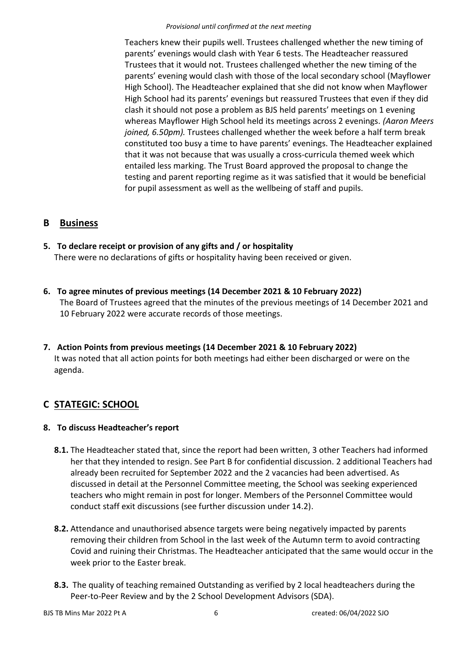Teachers knew their pupils well. Trustees challenged whether the new timing of parents' evenings would clash with Year 6 tests. The Headteacher reassured Trustees that it would not. Trustees challenged whether the new timing of the parents' evening would clash with those of the local secondary school (Mayflower High School). The Headteacher explained that she did not know when Mayflower High School had its parents' evenings but reassured Trustees that even if they did clash it should not pose a problem as BJS held parents' meetings on 1 evening whereas Mayflower High School held its meetings across 2 evenings. *(Aaron Meers joined, 6.50pm).* Trustees challenged whether the week before a half term break constituted too busy a time to have parents' evenings. The Headteacher explained that it was not because that was usually a cross-curricula themed week which entailed less marking. The Trust Board approved the proposal to change the testing and parent reporting regime as it was satisfied that it would be beneficial for pupil assessment as well as the wellbeing of staff and pupils.

# **B Business**

- **5. To declare receipt or provision of any gifts and / or hospitality**  There were no declarations of gifts or hospitality having been received or given.
- **6. To agree minutes of previous meetings (14 December 2021 & 10 February 2022)**  The Board of Trustees agreed that the minutes of the previous meetings of 14 December 2021 and 10 February 2022 were accurate records of those meetings.
- **7. Action Points from previous meetings (14 December 2021 & 10 February 2022)**  It was noted that all action points for both meetings had either been discharged or were on the agenda.

# **C STATEGIC: SCHOOL**

# **8. To discuss Headteacher's report**

- **8.1.** The Headteacher stated that, since the report had been written, 3 other Teachers had informed her that they intended to resign. See Part B for confidential discussion. 2 additional Teachers had already been recruited for September 2022 and the 2 vacancies had been advertised. As discussed in detail at the Personnel Committee meeting, the School was seeking experienced teachers who might remain in post for longer. Members of the Personnel Committee would conduct staff exit discussions (see further discussion under 14.2).
- **8.2.** Attendance and unauthorised absence targets were being negatively impacted by parents removing their children from School in the last week of the Autumn term to avoid contracting Covid and ruining their Christmas. The Headteacher anticipated that the same would occur in the week prior to the Easter break.
- **8.3.** The quality of teaching remained Outstanding as verified by 2 local headteachers during the Peer-to-Peer Review and by the 2 School Development Advisors (SDA).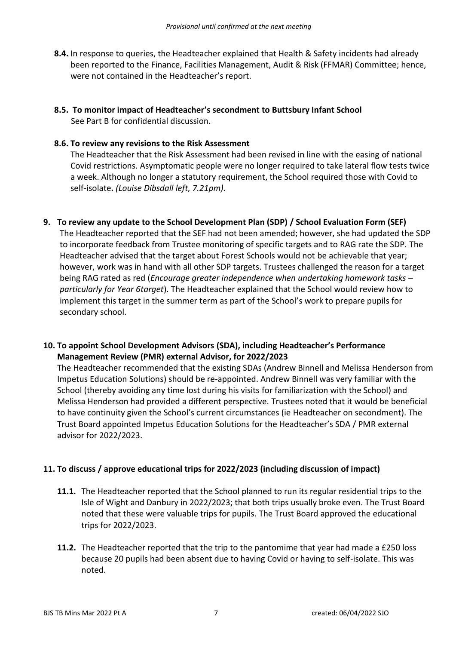- **8.4.** In response to queries, the Headteacher explained that Health & Safety incidents had already been reported to the Finance, Facilities Management, Audit & Risk (FFMAR) Committee; hence, were not contained in the Headteacher's report.
- **8.5. To monitor impact of Headteacher's secondment to Buttsbury Infant School**  See Part B for confidential discussion.

### **8.6. To review any revisions to the Risk Assessment**

The Headteacher that the Risk Assessment had been revised in line with the easing of national Covid restrictions. Asymptomatic people were no longer required to take lateral flow tests twice a week. Although no longer a statutory requirement, the School required those with Covid to self-isolate**.** *(Louise Dibsdall left, 7.21pm).* 

**9. To review any update to the School Development Plan (SDP) / School Evaluation Form (SEF)**

The Headteacher reported that the SEF had not been amended; however, she had updated the SDP to incorporate feedback from Trustee monitoring of specific targets and to RAG rate the SDP. The Headteacher advised that the target about Forest Schools would not be achievable that year; however, work was in hand with all other SDP targets. Trustees challenged the reason for a target being RAG rated as red (*Encourage greater independence when undertaking homework tasks – particularly for Year 6target*). The Headteacher explained that the School would review how to implement this target in the summer term as part of the School's work to prepare pupils for secondary school.

### **10. To appoint School Development Advisors (SDA), including Headteacher's Performance Management Review (PMR) external Advisor, for 2022/2023**

The Headteacher recommended that the existing SDAs (Andrew Binnell and Melissa Henderson from Impetus Education Solutions) should be re-appointed. Andrew Binnell was very familiar with the School (thereby avoiding any time lost during his visits for familiarization with the School) and Melissa Henderson had provided a different perspective. Trustees noted that it would be beneficial to have continuity given the School's current circumstances (ie Headteacher on secondment). The Trust Board appointed Impetus Education Solutions for the Headteacher's SDA / PMR external advisor for 2022/2023.

### **11. To discuss / approve educational trips for 2022/2023 (including discussion of impact)**

- **11.1.** The Headteacher reported that the School planned to run its regular residential trips to the Isle of Wight and Danbury in 2022/2023; that both trips usually broke even. The Trust Board noted that these were valuable trips for pupils. The Trust Board approved the educational trips for 2022/2023.
- **11.2.** The Headteacher reported that the trip to the pantomime that year had made a £250 loss because 20 pupils had been absent due to having Covid or having to self-isolate. This was noted.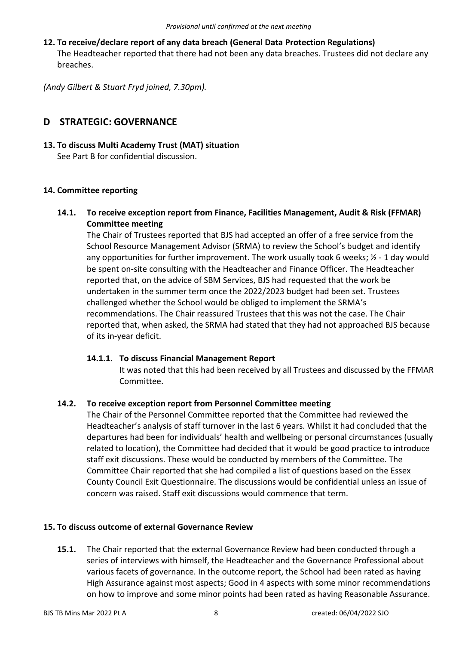**12. To receive/declare report of any data breach (General Data Protection Regulations)**  The Headteacher reported that there had not been any data breaches. Trustees did not declare any breaches.

*(Andy Gilbert & Stuart Fryd joined, 7.30pm).* 

# **D STRATEGIC: GOVERNANCE**

#### **13. To discuss Multi Academy Trust (MAT) situation**  See Part B for confidential discussion.

### **14. Committee reporting**

**14.1. To receive exception report from Finance, Facilities Management, Audit & Risk (FFMAR) Committee meeting** 

The Chair of Trustees reported that BJS had accepted an offer of a free service from the School Resource Management Advisor (SRMA) to review the School's budget and identify any opportunities for further improvement. The work usually took 6 weeks;  $\frac{1}{2}$  - 1 day would be spent on-site consulting with the Headteacher and Finance Officer. The Headteacher reported that, on the advice of SBM Services, BJS had requested that the work be undertaken in the summer term once the 2022/2023 budget had been set. Trustees challenged whether the School would be obliged to implement the SRMA's recommendations. The Chair reassured Trustees that this was not the case. The Chair reported that, when asked, the SRMA had stated that they had not approached BJS because of its in-year deficit.

#### **14.1.1. To discuss Financial Management Report**

It was noted that this had been received by all Trustees and discussed by the FFMAR Committee.

### **14.2. To receive exception report from Personnel Committee meeting**

The Chair of the Personnel Committee reported that the Committee had reviewed the Headteacher's analysis of staff turnover in the last 6 years. Whilst it had concluded that the departures had been for individuals' health and wellbeing or personal circumstances (usually related to location), the Committee had decided that it would be good practice to introduce staff exit discussions. These would be conducted by members of the Committee. The Committee Chair reported that she had compiled a list of questions based on the Essex County Council Exit Questionnaire. The discussions would be confidential unless an issue of concern was raised. Staff exit discussions would commence that term.

#### **15. To discuss outcome of external Governance Review**

**15.1.** The Chair reported that the external Governance Review had been conducted through a series of interviews with himself, the Headteacher and the Governance Professional about various facets of governance. In the outcome report, the School had been rated as having High Assurance against most aspects; Good in 4 aspects with some minor recommendations on how to improve and some minor points had been rated as having Reasonable Assurance.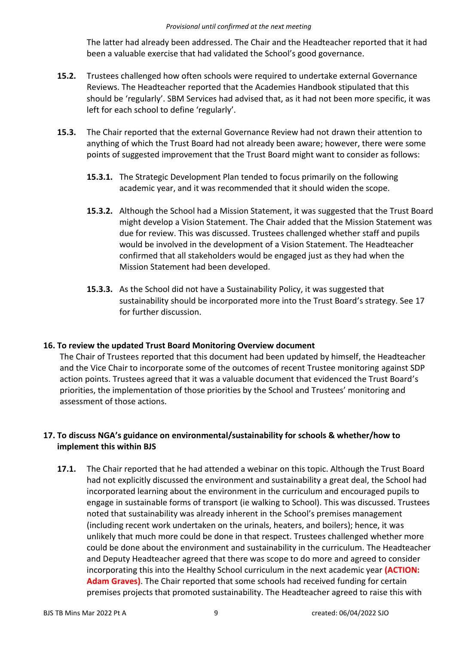The latter had already been addressed. The Chair and the Headteacher reported that it had been a valuable exercise that had validated the School's good governance.

- **15.2.** Trustees challenged how often schools were required to undertake external Governance Reviews. The Headteacher reported that the Academies Handbook stipulated that this should be 'regularly'. SBM Services had advised that, as it had not been more specific, it was left for each school to define 'regularly'.
- **15.3.** The Chair reported that the external Governance Review had not drawn their attention to anything of which the Trust Board had not already been aware; however, there were some points of suggested improvement that the Trust Board might want to consider as follows:
	- **15.3.1.** The Strategic Development Plan tended to focus primarily on the following academic year, and it was recommended that it should widen the scope.
	- **15.3.2.** Although the School had a Mission Statement, it was suggested that the Trust Board might develop a Vision Statement. The Chair added that the Mission Statement was due for review. This was discussed. Trustees challenged whether staff and pupils would be involved in the development of a Vision Statement. The Headteacher confirmed that all stakeholders would be engaged just as they had when the Mission Statement had been developed.
	- **15.3.3.** As the School did not have a Sustainability Policy, it was suggested that sustainability should be incorporated more into the Trust Board's strategy. See 17 for further discussion.

### **16. To review the updated Trust Board Monitoring Overview document**

The Chair of Trustees reported that this document had been updated by himself, the Headteacher and the Vice Chair to incorporate some of the outcomes of recent Trustee monitoring against SDP action points. Trustees agreed that it was a valuable document that evidenced the Trust Board's priorities, the implementation of those priorities by the School and Trustees' monitoring and assessment of those actions.

## **17. To discuss NGA's guidance on environmental/sustainability for schools & whether/how to implement this within BJS**

**17.1.** The Chair reported that he had attended a webinar on this topic. Although the Trust Board had not explicitly discussed the environment and sustainability a great deal, the School had incorporated learning about the environment in the curriculum and encouraged pupils to engage in sustainable forms of transport (ie walking to School). This was discussed. Trustees noted that sustainability was already inherent in the School's premises management (including recent work undertaken on the urinals, heaters, and boilers); hence, it was unlikely that much more could be done in that respect. Trustees challenged whether more could be done about the environment and sustainability in the curriculum. The Headteacher and Deputy Headteacher agreed that there was scope to do more and agreed to consider incorporating this into the Healthy School curriculum in the next academic year **(ACTION: Adam Graves)**. The Chair reported that some schools had received funding for certain premises projects that promoted sustainability. The Headteacher agreed to raise this with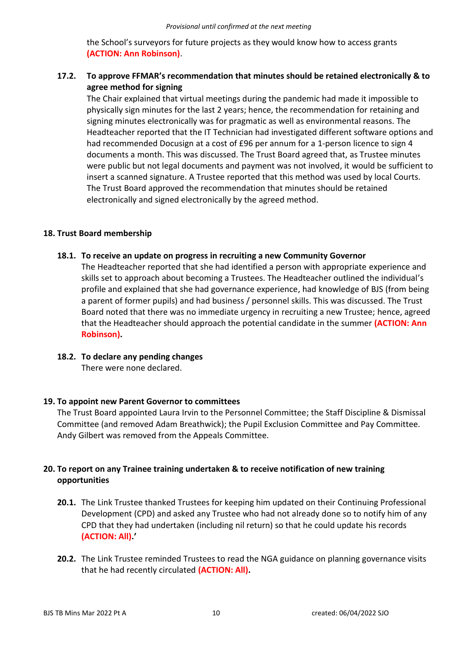the School's surveyors for future projects as they would know how to access grants **(ACTION: Ann Robinson)**.

## **17.2. To approve FFMAR's recommendation that minutes should be retained electronically & to agree method for signing**

The Chair explained that virtual meetings during the pandemic had made it impossible to physically sign minutes for the last 2 years; hence, the recommendation for retaining and signing minutes electronically was for pragmatic as well as environmental reasons. The Headteacher reported that the IT Technician had investigated different software options and had recommended Docusign at a cost of £96 per annum for a 1-person licence to sign 4 documents a month. This was discussed. The Trust Board agreed that, as Trustee minutes were public but not legal documents and payment was not involved, it would be sufficient to insert a scanned signature. A Trustee reported that this method was used by local Courts. The Trust Board approved the recommendation that minutes should be retained electronically and signed electronically by the agreed method.

#### **18. Trust Board membership**

#### **18.1. To receive an update on progress in recruiting a new Community Governor**

The Headteacher reported that she had identified a person with appropriate experience and skills set to approach about becoming a Trustees. The Headteacher outlined the individual's profile and explained that she had governance experience, had knowledge of BJS (from being a parent of former pupils) and had business / personnel skills. This was discussed. The Trust Board noted that there was no immediate urgency in recruiting a new Trustee; hence, agreed that the Headteacher should approach the potential candidate in the summer **(ACTION: Ann Robinson).** 

### **18.2. To declare any pending changes**

There were none declared.

### **19. To appoint new Parent Governor to committees**

The Trust Board appointed Laura Irvin to the Personnel Committee; the Staff Discipline & Dismissal Committee (and removed Adam Breathwick); the Pupil Exclusion Committee and Pay Committee. Andy Gilbert was removed from the Appeals Committee.

### **20. To report on any Trainee training undertaken & to receive notification of new training opportunities**

- **20.1.** The Link Trustee thanked Trustees for keeping him updated on their Continuing Professional Development (CPD) and asked any Trustee who had not already done so to notify him of any CPD that they had undertaken (including nil return) so that he could update his records **(ACTION: All).'**
- **20.2.** The Link Trustee reminded Trustees to read the NGA guidance on planning governance visits that he had recently circulated **(ACTION: All).**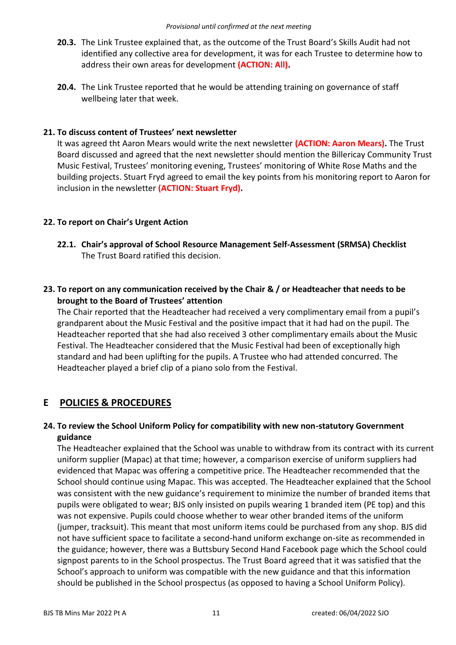- **20.3.** The Link Trustee explained that, as the outcome of the Trust Board's Skills Audit had not identified any collective area for development, it was for each Trustee to determine how to address their own areas for development **(ACTION: All).**
- **20.4.** The Link Trustee reported that he would be attending training on governance of staff wellbeing later that week.

#### **21. To discuss content of Trustees' next newsletter**

It was agreed tht Aaron Mears would write the next newsletter **(ACTION: Aaron Mears).** The Trust Board discussed and agreed that the next newsletter should mention the Billericay Community Trust Music Festival, Trustees' monitoring evening, Trustees' monitoring of White Rose Maths and the building projects. Stuart Fryd agreed to email the key points from his monitoring report to Aaron for inclusion in the newsletter **(ACTION: Stuart Fryd).** 

### **22. To report on Chair's Urgent Action**

**22.1. Chair's approval of School Resource Management Self-Assessment (SRMSA) Checklist**  The Trust Board ratified this decision.

## **23. To report on any communication received by the Chair & / or Headteacher that needs to be brought to the Board of Trustees' attention**

The Chair reported that the Headteacher had received a very complimentary email from a pupil's grandparent about the Music Festival and the positive impact that it had had on the pupil. The Headteacher reported that she had also received 3 other complimentary emails about the Music Festival. The Headteacher considered that the Music Festival had been of exceptionally high standard and had been uplifting for the pupils. A Trustee who had attended concurred. The Headteacher played a brief clip of a piano solo from the Festival.

# **E POLICIES & PROCEDURES**

### **24. To review the School Uniform Policy for compatibility with new non-statutory Government guidance**

The Headteacher explained that the School was unable to withdraw from its contract with its current uniform supplier (Mapac) at that time; however, a comparison exercise of uniform suppliers had evidenced that Mapac was offering a competitive price. The Headteacher recommended that the School should continue using Mapac. This was accepted. The Headteacher explained that the School was consistent with the new guidance's requirement to minimize the number of branded items that pupils were obligated to wear; BJS only insisted on pupils wearing 1 branded item (PE top) and this was not expensive. Pupils could choose whether to wear other branded items of the uniform (jumper, tracksuit). This meant that most uniform items could be purchased from any shop. BJS did not have sufficient space to facilitate a second-hand uniform exchange on-site as recommended in the guidance; however, there was a Buttsbury Second Hand Facebook page which the School could signpost parents to in the School prospectus. The Trust Board agreed that it was satisfied that the School's approach to uniform was compatible with the new guidance and that this information should be published in the School prospectus (as opposed to having a School Uniform Policy).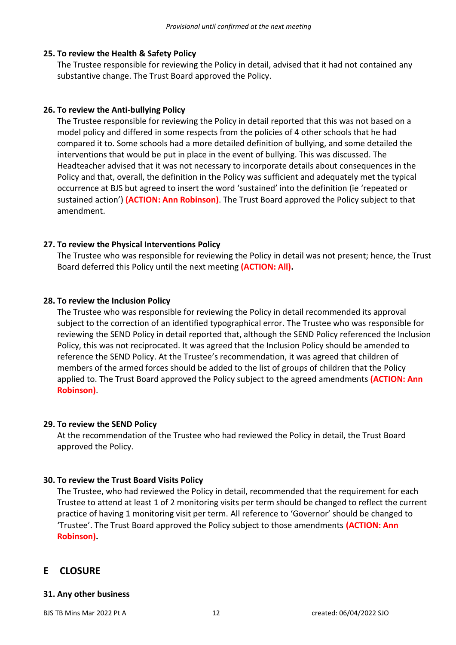## **25. To review the Health & Safety Policy**

The Trustee responsible for reviewing the Policy in detail, advised that it had not contained any substantive change. The Trust Board approved the Policy.

## **26. To review the Anti-bullying Policy**

The Trustee responsible for reviewing the Policy in detail reported that this was not based on a model policy and differed in some respects from the policies of 4 other schools that he had compared it to. Some schools had a more detailed definition of bullying, and some detailed the interventions that would be put in place in the event of bullying. This was discussed. The Headteacher advised that it was not necessary to incorporate details about consequences in the Policy and that, overall, the definition in the Policy was sufficient and adequately met the typical occurrence at BJS but agreed to insert the word 'sustained' into the definition (ie 'repeated or sustained action') **(ACTION: Ann Robinson)**. The Trust Board approved the Policy subject to that amendment.

## **27. To review the Physical Interventions Policy**

The Trustee who was responsible for reviewing the Policy in detail was not present; hence, the Trust Board deferred this Policy until the next meeting **(ACTION: All).** 

## **28. To review the Inclusion Policy**

The Trustee who was responsible for reviewing the Policy in detail recommended its approval subject to the correction of an identified typographical error. The Trustee who was responsible for reviewing the SEND Policy in detail reported that, although the SEND Policy referenced the Inclusion Policy, this was not reciprocated. It was agreed that the Inclusion Policy should be amended to reference the SEND Policy. At the Trustee's recommendation, it was agreed that children of members of the armed forces should be added to the list of groups of children that the Policy applied to. The Trust Board approved the Policy subject to the agreed amendments **(ACTION: Ann Robinson)**.

### **29. To review the SEND Policy**

At the recommendation of the Trustee who had reviewed the Policy in detail, the Trust Board approved the Policy.

### **30. To review the Trust Board Visits Policy**

The Trustee, who had reviewed the Policy in detail, recommended that the requirement for each Trustee to attend at least 1 of 2 monitoring visits per term should be changed to reflect the current practice of having 1 monitoring visit per term. All reference to 'Governor' should be changed to 'Trustee'. The Trust Board approved the Policy subject to those amendments **(ACTION: Ann Robinson).** 

# **E CLOSURE**

#### **31. Any other business**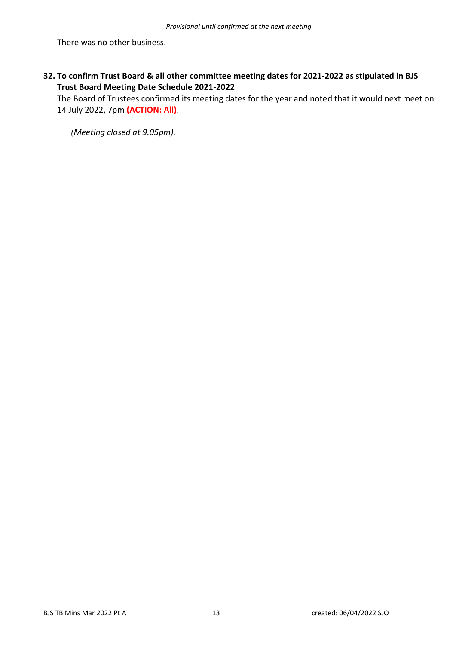There was no other business.

**32. To confirm Trust Board & all other committee meeting dates for 2021-2022 as stipulated in BJS Trust Board Meeting Date Schedule 2021-2022** 

The Board of Trustees confirmed its meeting dates for the year and noted that it would next meet on 14 July 2022, 7pm **(ACTION: All)**.

*(Meeting closed at 9.05pm).*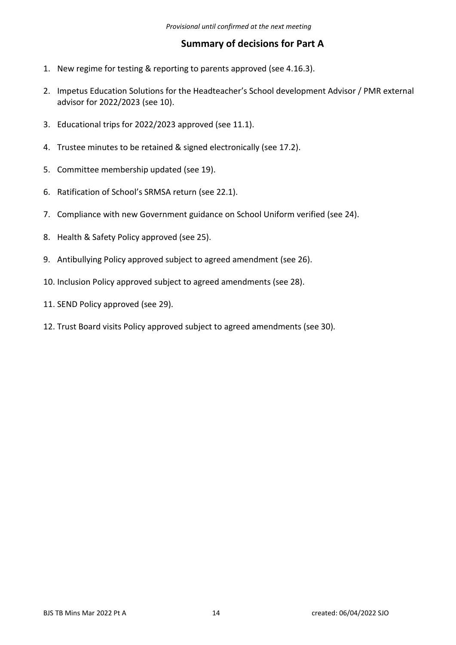# **Summary of decisions for Part A**

- 1. New regime for testing & reporting to parents approved (see 4.16.3).
- 2. Impetus Education Solutions for the Headteacher's School development Advisor / PMR external advisor for 2022/2023 (see 10).
- 3. Educational trips for 2022/2023 approved (see 11.1).
- 4. Trustee minutes to be retained & signed electronically (see 17.2).
- 5. Committee membership updated (see 19).
- 6. Ratification of School's SRMSA return (see 22.1).
- 7. Compliance with new Government guidance on School Uniform verified (see 24).
- 8. Health & Safety Policy approved (see 25).
- 9. Antibullying Policy approved subject to agreed amendment (see 26).
- 10. Inclusion Policy approved subject to agreed amendments (see 28).
- 11. SEND Policy approved (see 29).
- 12. Trust Board visits Policy approved subject to agreed amendments (see 30).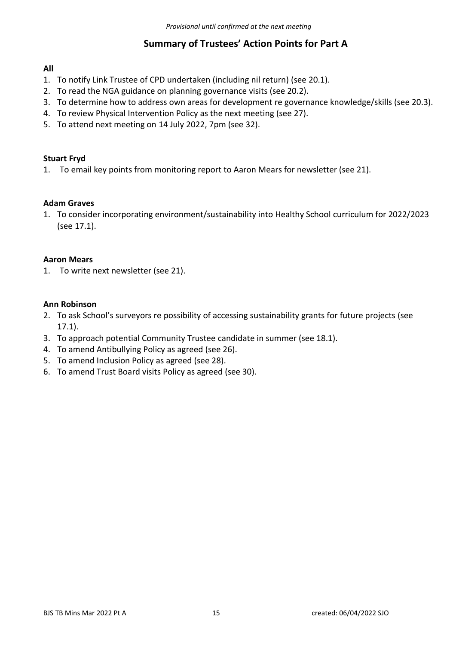# **Summary of Trustees' Action Points for Part A**

## **All**

- 1. To notify Link Trustee of CPD undertaken (including nil return) (see 20.1).
- 2. To read the NGA guidance on planning governance visits (see 20.2).
- 3. To determine how to address own areas for development re governance knowledge/skills (see 20.3).
- 4. To review Physical Intervention Policy as the next meeting (see 27).
- 5. To attend next meeting on 14 July 2022, 7pm (see 32).

### **Stuart Fryd**

1. To email key points from monitoring report to Aaron Mears for newsletter (see 21).

#### **Adam Graves**

1. To consider incorporating environment/sustainability into Healthy School curriculum for 2022/2023 (see 17.1).

#### **Aaron Mears**

1. To write next newsletter (see 21).

#### **Ann Robinson**

- 2. To ask School's surveyors re possibility of accessing sustainability grants for future projects (see 17.1).
- 3. To approach potential Community Trustee candidate in summer (see 18.1).
- 4. To amend Antibullying Policy as agreed (see 26).
- 5. To amend Inclusion Policy as agreed (see 28).
- 6. To amend Trust Board visits Policy as agreed (see 30).